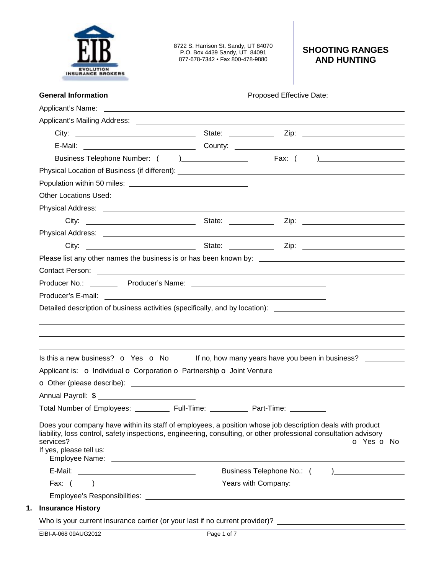

8722 S. Harrison St. Sandy, UT 84070 P.O. Box 4439 Sandy, UT 84091 877-678-7342 • Fax 800-478-9880

# **SHOOTING RANGES AND HUNTING**

| <b>General Information</b>                                                                                                                                                                                                                                                                                                                                                                                                                                                                                                                                   | Proposed Effective Date: ____________________ |            |
|--------------------------------------------------------------------------------------------------------------------------------------------------------------------------------------------------------------------------------------------------------------------------------------------------------------------------------------------------------------------------------------------------------------------------------------------------------------------------------------------------------------------------------------------------------------|-----------------------------------------------|------------|
|                                                                                                                                                                                                                                                                                                                                                                                                                                                                                                                                                              |                                               |            |
|                                                                                                                                                                                                                                                                                                                                                                                                                                                                                                                                                              |                                               |            |
|                                                                                                                                                                                                                                                                                                                                                                                                                                                                                                                                                              |                                               |            |
|                                                                                                                                                                                                                                                                                                                                                                                                                                                                                                                                                              |                                               |            |
|                                                                                                                                                                                                                                                                                                                                                                                                                                                                                                                                                              |                                               |            |
|                                                                                                                                                                                                                                                                                                                                                                                                                                                                                                                                                              |                                               |            |
|                                                                                                                                                                                                                                                                                                                                                                                                                                                                                                                                                              |                                               |            |
| <b>Other Locations Used:</b>                                                                                                                                                                                                                                                                                                                                                                                                                                                                                                                                 |                                               |            |
|                                                                                                                                                                                                                                                                                                                                                                                                                                                                                                                                                              |                                               |            |
|                                                                                                                                                                                                                                                                                                                                                                                                                                                                                                                                                              |                                               |            |
| Physical Address: <u>Physical</u> Address: 2008. The Contract of the Contract of the Contract of the Contract of the Contract of the Contract of the Contract of the Contract of the Contract of the Contract of the Contract of th                                                                                                                                                                                                                                                                                                                          |                                               |            |
|                                                                                                                                                                                                                                                                                                                                                                                                                                                                                                                                                              |                                               |            |
|                                                                                                                                                                                                                                                                                                                                                                                                                                                                                                                                                              |                                               |            |
|                                                                                                                                                                                                                                                                                                                                                                                                                                                                                                                                                              |                                               |            |
|                                                                                                                                                                                                                                                                                                                                                                                                                                                                                                                                                              |                                               |            |
|                                                                                                                                                                                                                                                                                                                                                                                                                                                                                                                                                              |                                               |            |
| Detailed description of business activities (specifically, and by location): ________________________________                                                                                                                                                                                                                                                                                                                                                                                                                                                |                                               |            |
|                                                                                                                                                                                                                                                                                                                                                                                                                                                                                                                                                              |                                               |            |
| Is this a new business? $\bullet$ Yes $\bullet$ No If no, how many years have you been in business?                                                                                                                                                                                                                                                                                                                                                                                                                                                          |                                               |            |
|                                                                                                                                                                                                                                                                                                                                                                                                                                                                                                                                                              |                                               |            |
|                                                                                                                                                                                                                                                                                                                                                                                                                                                                                                                                                              |                                               |            |
| Applicant is: o Individual o Corporation o Partnership o Joint Venture                                                                                                                                                                                                                                                                                                                                                                                                                                                                                       |                                               |            |
|                                                                                                                                                                                                                                                                                                                                                                                                                                                                                                                                                              |                                               |            |
|                                                                                                                                                                                                                                                                                                                                                                                                                                                                                                                                                              | Part-Time: ___                                |            |
| Total Number of Employees: __________ Full-Time:<br>Does your company have within its staff of employees, a position whose job description deals with product<br>liability, loss control, safety inspections, engineering, consulting, or other professional consultation advisory<br>services?<br>If yes, please tell us:<br>Employee Name: The contract of the contract of the contract of the contract of the contract of the contract of the contract of the contract of the contract of the contract of the contract of the contract of the contract of |                                               |            |
|                                                                                                                                                                                                                                                                                                                                                                                                                                                                                                                                                              |                                               | O Yes O No |
| Employee's Responsibilities: We are also as a series of the contract of the contract of the contract of the contract of the contract of the contract of the contract of the contract of the contract of the contract of the co                                                                                                                                                                                                                                                                                                                               |                                               |            |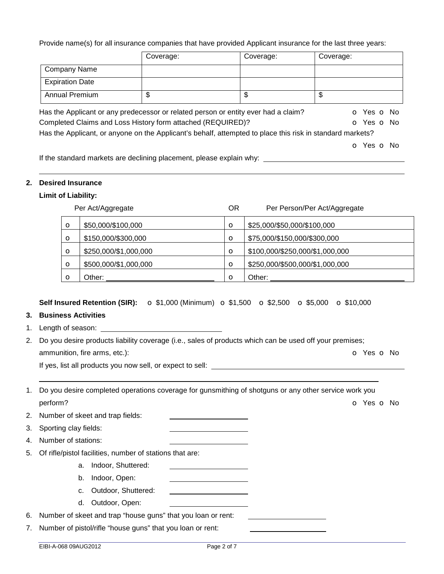Provide name(s) for all insurance companies that have provided Applicant insurance for the last three years:

|                                                                      | Coverage: | Coverage:                                                                                                 | Coverage:  |
|----------------------------------------------------------------------|-----------|-----------------------------------------------------------------------------------------------------------|------------|
| <b>Company Name</b>                                                  |           |                                                                                                           |            |
| <b>Expiration Date</b>                                               |           |                                                                                                           |            |
| <b>Annual Premium</b>                                                | \$        | \$                                                                                                        | \$         |
|                                                                      |           | Has the Applicant or any predecessor or related person or entity ever had a claim?                        | O Yes O No |
| Completed Claims and Loss History form attached (REQUIRED)?          |           |                                                                                                           | O Yes O No |
|                                                                      |           | Has the Applicant, or anyone on the Applicant's behalf, attempted to place this risk in standard markets? |            |
|                                                                      |           |                                                                                                           | o Yes o No |
| If the standard markets are declining placement, please evolain why. |           |                                                                                                           |            |

If the standard markets are declining placement, please explain why:

#### **2. Desired Insurance**

## **Limit of Liability:**

|         | Per Act/Aggregate     | <b>OR</b> | Per Person/Per Act/Aggregate    |
|---------|-----------------------|-----------|---------------------------------|
| O       | \$50,000/\$100,000    | $\circ$   | \$25,000/\$50,000/\$100,000     |
| $\circ$ | \$150,000/\$300,000   | $\circ$   | \$75,000/\$150,000/\$300,000    |
| O       | \$250,000/\$1,000,000 | $\circ$   | \$100,000/\$250,000/\$1,000,000 |
| O       | \$500,000/\$1,000,000 | $\circ$   | \$250,000/\$500,000/\$1,000,000 |
| Ω       | Other:                | $\circ$   | Other:                          |

## **Self Insured Retention (SIR):** o \$1,000 (Minimum) o \$1,500 o \$2,500 o \$5,000 o \$10,000

# **3. Business Activities**

1. Length of season:

2. Do you desire products liability coverage (i.e., sales of products which can be used off your premises; ammunition, fire arms, etc.): **but a contract that is a contract of the C** Yes **o** No

If yes, list all products you now sell, or expect to sell:

| 1. Do you desire completed operations coverage for gunsmithing of shotguns or any other service work you |            |  |
|----------------------------------------------------------------------------------------------------------|------------|--|
| perform?                                                                                                 | o Yes o No |  |

2. Number of skeet and trap fields:

3. Sporting clay fields:

4. Number of stations:

- 5. Of rifle/pistol facilities, number of stations that are:
	- a. Indoor, Shuttered:
	- b. Indoor, Open:
	- c. Outdoor, Shuttered:
	- d. Outdoor, Open:

6. Number of skeet and trap "house guns" that you loan or rent:

7. Number of pistol/rifle "house guns" that you loan or rent: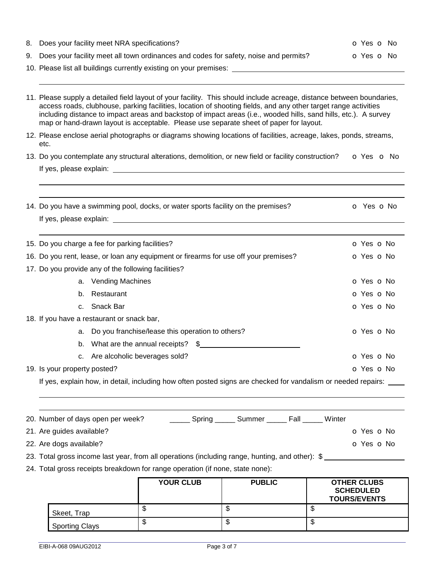| 8. Does your facility meet NRA specifications?                                          | <b>O</b> Yes <b>O</b> No |
|-----------------------------------------------------------------------------------------|--------------------------|
| 9. Does your facility meet all town ordinances and codes for safety, noise and permits? | O Yes O No               |
| 10. Please list all buildings currently existing on your premises:                      |                          |
|                                                                                         |                          |

| 11. Please supply a detailed field layout of your facility. This should include acreage, distance between boundaries,<br>access roads, clubhouse, parking facilities, location of shooting fields, and any other target range activities<br>including distance to impact areas and backstop of impact areas (i.e., wooded hills, sand hills, etc.). A survey<br>map or hand-drawn layout is acceptable. Please use separate sheet of paper for layout. |                                                                                                                   |            |  |  |
|--------------------------------------------------------------------------------------------------------------------------------------------------------------------------------------------------------------------------------------------------------------------------------------------------------------------------------------------------------------------------------------------------------------------------------------------------------|-------------------------------------------------------------------------------------------------------------------|------------|--|--|
| 12. Please enclose aerial photographs or diagrams showing locations of facilities, acreage, lakes, ponds, streams,<br>etc.                                                                                                                                                                                                                                                                                                                             |                                                                                                                   |            |  |  |
| 13. Do you contemplate any structural alterations, demolition, or new field or facility construction?                                                                                                                                                                                                                                                                                                                                                  |                                                                                                                   |            |  |  |
|                                                                                                                                                                                                                                                                                                                                                                                                                                                        |                                                                                                                   |            |  |  |
|                                                                                                                                                                                                                                                                                                                                                                                                                                                        |                                                                                                                   |            |  |  |
|                                                                                                                                                                                                                                                                                                                                                                                                                                                        | 14. Do you have a swimming pool, docks, or water sports facility on the premises?                                 | o Yes o No |  |  |
|                                                                                                                                                                                                                                                                                                                                                                                                                                                        | 15. Do you charge a fee for parking facilities?                                                                   | O Yes O No |  |  |
|                                                                                                                                                                                                                                                                                                                                                                                                                                                        | 16. Do you rent, lease, or loan any equipment or firearms for use off your premises?                              | O Yes O No |  |  |
|                                                                                                                                                                                                                                                                                                                                                                                                                                                        | 17. Do you provide any of the following facilities?                                                               |            |  |  |
|                                                                                                                                                                                                                                                                                                                                                                                                                                                        | a. Vending Machines                                                                                               | O Yes O No |  |  |
|                                                                                                                                                                                                                                                                                                                                                                                                                                                        | b. Restaurant                                                                                                     | O Yes O No |  |  |
|                                                                                                                                                                                                                                                                                                                                                                                                                                                        | c. Snack Bar                                                                                                      | O Yes O No |  |  |
|                                                                                                                                                                                                                                                                                                                                                                                                                                                        | 18. If you have a restaurant or snack bar,                                                                        |            |  |  |
|                                                                                                                                                                                                                                                                                                                                                                                                                                                        | a. Do you franchise/lease this operation to others?                                                               | o Yes o No |  |  |
|                                                                                                                                                                                                                                                                                                                                                                                                                                                        | b. What are the annual receipts? \$                                                                               |            |  |  |
|                                                                                                                                                                                                                                                                                                                                                                                                                                                        | c. Are alcoholic beverages sold?                                                                                  | O Yes O No |  |  |
| 19. Is your property posted?                                                                                                                                                                                                                                                                                                                                                                                                                           |                                                                                                                   | O Yes O No |  |  |
|                                                                                                                                                                                                                                                                                                                                                                                                                                                        | If yes, explain how, in detail, including how often posted signs are checked for vandalism or needed repairs: ___ |            |  |  |

| 20. Number of days open per week?                                                               | Spring | Summer | Fall | Winter |            |
|-------------------------------------------------------------------------------------------------|--------|--------|------|--------|------------|
| 21. Are guides available?                                                                       |        |        |      |        | O Yes O No |
| 22. Are dogs available?                                                                         |        |        |      |        | O Yes O No |
| 23. Total gross income last year, from all operations (including range, hunting, and other): \$ |        |        |      |        |            |

24. Total gross receipts breakdown for range operation (if none, state none):

|                       | <b>YOUR CLUB</b> | <b>PUBLIC</b> | <b>OTHER CLUBS</b><br><b>SCHEDULED</b><br><b>TOURS/EVENTS</b> |
|-----------------------|------------------|---------------|---------------------------------------------------------------|
| Skeet, Trap           | ง                | ٦IJ           | ۰D                                                            |
| <b>Sporting Clays</b> | D                | w             | ۰D                                                            |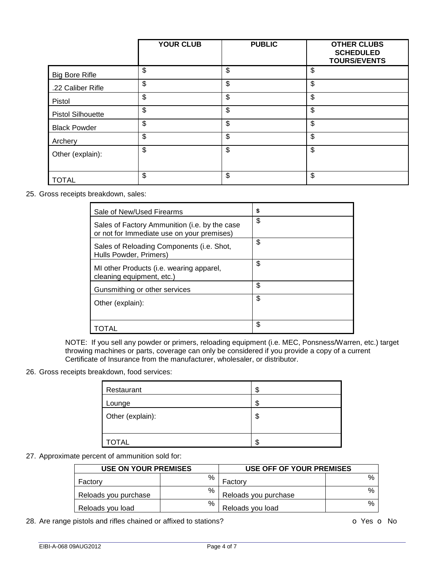|                          | <b>YOUR CLUB</b> | <b>PUBLIC</b> | <b>OTHER CLUBS</b><br><b>SCHEDULED</b><br><b>TOURS/EVENTS</b> |
|--------------------------|------------------|---------------|---------------------------------------------------------------|
| <b>Big Bore Rifle</b>    | \$               | \$            | \$                                                            |
| .22 Caliber Rifle        | \$               | \$            | \$                                                            |
| Pistol                   | \$               | \$            | \$                                                            |
| <b>Pistol Silhouette</b> | \$               | \$            | \$                                                            |
| <b>Black Powder</b>      | \$               | \$            | \$                                                            |
| Archery                  | \$               | \$            | \$                                                            |
| Other (explain):         | \$               | \$            | \$                                                            |
| <b>TOTAL</b>             | \$               | \$            | \$                                                            |

25. Gross receipts breakdown, sales:

| Sale of New/Used Firearms                                                                   | \$ |
|---------------------------------------------------------------------------------------------|----|
| Sales of Factory Ammunition (i.e. by the case<br>or not for Immediate use on your premises) | \$ |
| Sales of Reloading Components (i.e. Shot,<br>Hulls Powder, Primers)                         | \$ |
| MI other Products (i.e. wearing apparel,<br>cleaning equipment, etc.)                       | \$ |
| Gunsmithing or other services                                                               | \$ |
| Other (explain):                                                                            | \$ |
|                                                                                             | \$ |

NOTE: If you sell any powder or primers, reloading equipment (i.e. MEC, Ponsness/Warren, etc.) target throwing machines or parts, coverage can only be considered if you provide a copy of a current Certificate of Insurance from the manufacturer, wholesaler, or distributor.

## 26. Gross receipts breakdown, food services:

| Restaurant       | \$ |
|------------------|----|
| Lounge           | \$ |
| Other (explain): | \$ |
| <b>OTAL</b>      | S  |

## 27. Approximate percent of ammunition sold for:

| <b>USE ON YOUR PREMISES</b> |   | USE OFF OF YOUR PREMISES |               |  |
|-----------------------------|---|--------------------------|---------------|--|
| Factory                     | % | Factory                  | $\frac{0}{c}$ |  |
| Reloads you purchase        | % | Reloads you purchase     | $\frac{0}{c}$ |  |
| Reloads you load            | % | Reloads you load         | $\frac{0}{c}$ |  |

28. Are range pistols and rifles chained or affixed to stations? **Decay of the COV** of Yes **o** No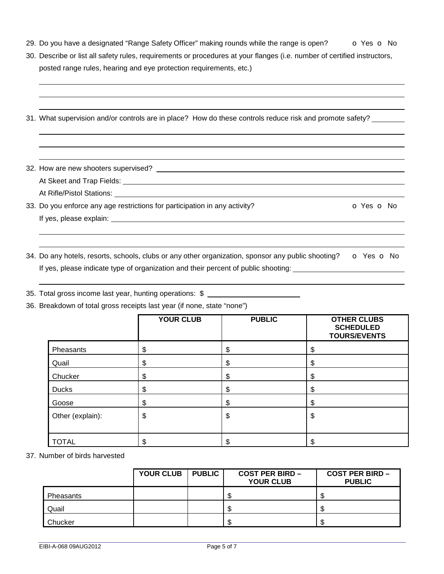- 29. Do you have a designated "Range Safety Officer" making rounds while the range is open?  $\bullet$  Yes  $\bullet$  No
- 30. Describe or list all safety rules, requirements or procedures at your flanges (i.e. number of certified instructors, posted range rules, hearing and eye protection requirements, etc.)

|  | 31. What supervision and/or controls are in place? How do these controls reduce risk and promote safety? __ |  |
|--|-------------------------------------------------------------------------------------------------------------|--|
|  |                                                                                                             |  |

32. How are new shooters supervised? At Skeet and Trap Fields: \_\_\_\_\_\_\_\_\_\_ At Rifle/Pistol Stations: <u>Community of Aten Stations</u>

33. Do you enforce any age restrictions for participation in any activity?  $\bullet$  Yes  $\bullet$  No If yes, please explain:

34. Do any hotels, resorts, schools, clubs or any other organization, sponsor any public shooting?  $\bullet$  Yes  $\bullet$  No If yes, please indicate type of organization and their percent of public shooting:

35. Total gross income last year, hunting operations: \$

36. Breakdown of total gross receipts last year (if none, state "none")

|                  | <b>YOUR CLUB</b> | <b>PUBLIC</b> | <b>OTHER CLUBS</b><br><b>SCHEDULED</b><br><b>TOURS/EVENTS</b> |
|------------------|------------------|---------------|---------------------------------------------------------------|
| Pheasants        | \$               | \$            | \$                                                            |
| Quail            | \$               | \$            | \$                                                            |
| Chucker          | \$               | \$            | \$                                                            |
| <b>Ducks</b>     | \$               | \$            | \$                                                            |
| Goose            | Φ                | \$            | \$                                                            |
| Other (explain): | \$               | \$            | \$                                                            |
| <b>TOTAL</b>     |                  |               | œ                                                             |

37. Number of birds harvested

 

|           | <b>YOUR CLUB</b> | <b>PUBLIC</b> | <b>COST PER BIRD -</b><br><b>YOUR CLUB</b> | <b>COST PER BIRD -</b><br><b>PUBLIC</b> |
|-----------|------------------|---------------|--------------------------------------------|-----------------------------------------|
| Pheasants |                  |               |                                            |                                         |
| Quail     |                  |               |                                            |                                         |
| Chucker   |                  |               |                                            |                                         |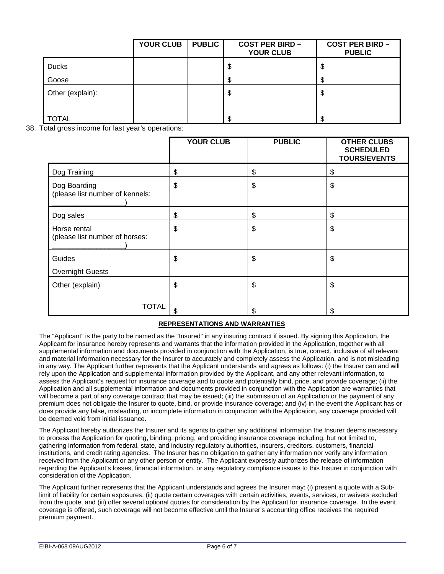|                  | <b>YOUR CLUB</b> | <b>PUBLIC</b> | <b>COST PER BIRD -</b><br><b>YOUR CLUB</b> | <b>COST PER BIRD -</b><br><b>PUBLIC</b> |
|------------------|------------------|---------------|--------------------------------------------|-----------------------------------------|
| <b>Ducks</b>     |                  |               | S                                          | ъD                                      |
| Goose            |                  |               | S                                          |                                         |
| Other (explain): |                  |               | \$                                         | \$                                      |
| <b>TOTAL</b>     |                  |               | S                                          |                                         |

38. Total gross income for last year's operations:

|                                                 | <b>YOUR CLUB</b> | <b>PUBLIC</b> | <b>OTHER CLUBS</b><br><b>SCHEDULED</b><br><b>TOURS/EVENTS</b> |
|-------------------------------------------------|------------------|---------------|---------------------------------------------------------------|
| Dog Training                                    | \$               | \$            | \$                                                            |
| Dog Boarding<br>(please list number of kennels: | \$               | \$            | \$                                                            |
| Dog sales                                       | \$               | \$            | \$                                                            |
| Horse rental<br>(please list number of horses:  | \$               | \$            | \$                                                            |
| Guides                                          | \$               | \$            | \$                                                            |
| <b>Overnight Guests</b>                         |                  |               |                                                               |
| Other (explain):                                | \$               | \$            | \$                                                            |
| <b>TOTAL</b>                                    | \$               | \$            | \$                                                            |

#### **REPRESENTATIONS AND WARRANTIES**

The "Applicant" is the party to be named as the "Insured" in any insuring contract if issued. By signing this Application, the Applicant for insurance hereby represents and warrants that the information provided in the Application, together with all supplemental information and documents provided in conjunction with the Application, is true, correct, inclusive of all relevant and material information necessary for the Insurer to accurately and completely assess the Application, and is not misleading in any way. The Applicant further represents that the Applicant understands and agrees as follows: (i) the Insurer can and will rely upon the Application and supplemental information provided by the Applicant, and any other relevant information, to assess the Applicant's request for insurance coverage and to quote and potentially bind, price, and provide coverage; (ii) the Application and all supplemental information and documents provided in conjunction with the Application are warranties that will become a part of any coverage contract that may be issued; (iii) the submission of an Application or the payment of any premium does not obligate the Insurer to quote, bind, or provide insurance coverage; and (iv) in the event the Applicant has or does provide any false, misleading, or incomplete information in conjunction with the Application, any coverage provided will be deemed void from initial issuance.

The Applicant hereby authorizes the Insurer and its agents to gather any additional information the Insurer deems necessary to process the Application for quoting, binding, pricing, and providing insurance coverage including, but not limited to, gathering information from federal, state, and industry regulatory authorities, insurers, creditors, customers, financial institutions, and credit rating agencies. The Insurer has no obligation to gather any information nor verify any information received from the Applicant or any other person or entity. The Applicant expressly authorizes the release of information regarding the Applicant's losses, financial information, or any regulatory compliance issues to this Insurer in conjunction with consideration of the Application.

The Applicant further represents that the Applicant understands and agrees the Insurer may: (i) present a quote with a Sublimit of liability for certain exposures, (ii) quote certain coverages with certain activities, events, services, or waivers excluded from the quote, and (iii) offer several optional quotes for consideration by the Applicant for insurance coverage. In the event coverage is offered, such coverage will not become effective until the Insurer's accounting office receives the required premium payment.